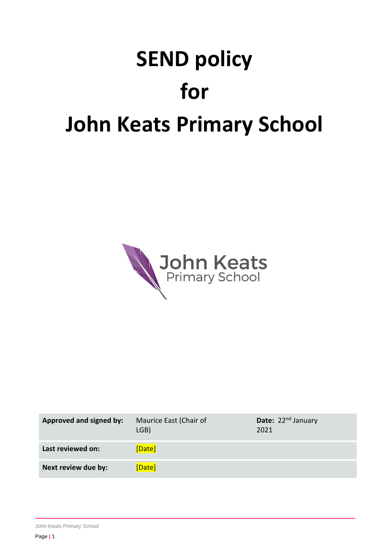# **SEND policy for John Keats Primary School**



| Approved and signed by: | Maurice East (Chair of<br>LGB) | <b>Date:</b> $22^{nd}$ January<br>2021 |
|-------------------------|--------------------------------|----------------------------------------|
| Last reviewed on:       | [Date]                         |                                        |
| Next review due by:     | [Date]                         |                                        |

John Keats Primary School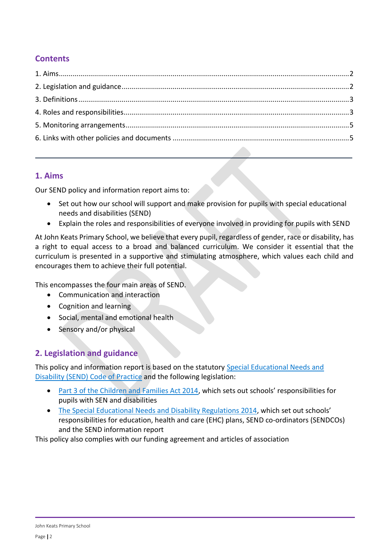# **Contents**

## <span id="page-1-0"></span>**1. Aims**

Our SEND policy and information report aims to:

- Set out how our school will support and make provision for pupils with special educational needs and disabilities (SEND)
- Explain the roles and responsibilities of everyone involved in providing for pupils with SEND

At John Keats Primary School, we believe that every pupil, regardless of gender, race or disability, has a right to equal access to a broad and balanced curriculum. We consider it essential that the curriculum is presented in a supportive and stimulating atmosphere, which values each child and encourages them to achieve their full potential.

This encompasses the four main areas of SEND.

- Communication and interaction
- Cognition and learning
- Social, mental and emotional health
- Sensory and/or physical

# <span id="page-1-1"></span>**2. Legislation and guidance**

This policy and information report is based on the statutory [Special Educational Needs and](https://www.gov.uk/government/uploads/system/uploads/attachment_data/file/398815/SEND_Code_of_Practice_January_2015.pdf)  [Disability \(SEND\) Code of Practice](https://www.gov.uk/government/uploads/system/uploads/attachment_data/file/398815/SEND_Code_of_Practice_January_2015.pdf) and the following legislation:

- [Part 3 of the Children and Families Act 2014](http://www.legislation.gov.uk/ukpga/2014/6/part/3), which sets out schools' responsibilities for pupils with SEN and disabilities
- [The Special Educational Needs and Disability Regulations 2014](http://www.legislation.gov.uk/uksi/2014/1530/contents/made), which set out schools' responsibilities for education, health and care (EHC) plans, SEND co-ordinators (SENDCOs) and the SEND information report

This policy also complies with our funding agreement and articles of association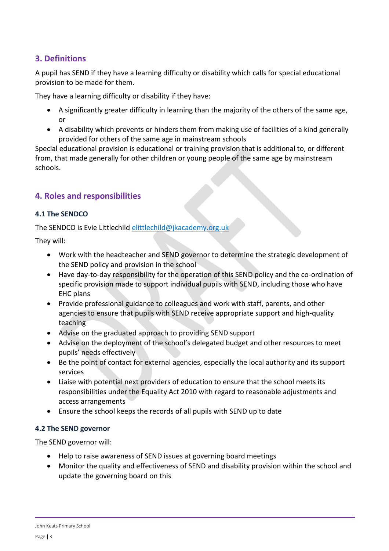## <span id="page-2-0"></span>**3. Definitions**

A pupil has SEND if they have a learning difficulty or disability which calls for special educational provision to be made for them.

They have a learning difficulty or disability if they have:

- A significantly greater difficulty in learning than the majority of the others of the same age, or
- A disability which prevents or hinders them from making use of facilities of a kind generally provided for others of the same age in mainstream schools

Special educational provision is educational or training provision that is additional to, or different from, that made generally for other children or young people of the same age by mainstream schools.

## <span id="page-2-1"></span>**4. Roles and responsibilities**

#### **4.1 The SENDCO**

The SENDCO is Evie Littlechild [elittlechild@jkacademy.org.uk](mailto:elittlechild@jkacademy.org.uk)

They will:

- Work with the headteacher and SEND governor to determine the strategic development of the SEND policy and provision in the school
- Have day-to-day responsibility for the operation of this SEND policy and the co-ordination of specific provision made to support individual pupils with SEND, including those who have EHC plans
- Provide professional guidance to colleagues and work with staff, parents, and other agencies to ensure that pupils with SEND receive appropriate support and high-quality teaching
- Advise on the graduated approach to providing SEND support
- Advise on the deployment of the school's delegated budget and other resources to meet pupils' needs effectively
- Be the point of contact for external agencies, especially the local authority and its support services
- Liaise with potential next providers of education to ensure that the school meets its responsibilities under the Equality Act 2010 with regard to reasonable adjustments and access arrangements
- Ensure the school keeps the records of all pupils with SEND up to date

#### **4.2 The SEND governor**

The SEND governor will:

- Help to raise awareness of SEND issues at governing board meetings
- Monitor the quality and effectiveness of SEND and disability provision within the school and update the governing board on this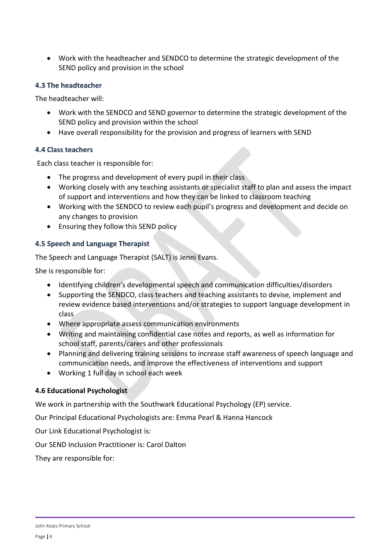Work with the headteacher and SENDCO to determine the strategic development of the SEND policy and provision in the school

#### **4.3 The headteacher**

The headteacher will:

- Work with the SENDCO and SEND governor to determine the strategic development of the SEND policy and provision within the school
- Have overall responsibility for the provision and progress of learners with SEND

#### **4.4 Class teachers**

Each class teacher is responsible for:

- The progress and development of every pupil in their class
- Working closely with any teaching assistants or specialist staff to plan and assess the impact of support and interventions and how they can be linked to classroom teaching
- Working with the SENDCO to review each pupil's progress and development and decide on any changes to provision
- Ensuring they follow this SEND policy

#### **4.5 Speech and Language Therapist**

The Speech and Language Therapist (SALT) is Jenni Evans.

She is responsible for:

- Identifying children's developmental speech and communication difficulties/disorders
- Supporting the SENDCO, class teachers and teaching assistants to devise, implement and review evidence based interventions and/or strategies to support language development in class
- Where appropriate assess communication environments
- Writing and maintaining confidential case notes and reports, as well as information for school staff, parents/carers and other professionals
- Planning and delivering training sessions to increase staff awareness of speech language and communication needs, and improve the effectiveness of interventions and support
- Working 1 full day in school each week

#### **4.6 Educational Psychologist**

We work in partnership with the Southwark Educational Psychology (EP) service.

Our Principal Educational Psychologists are: Emma Pearl & Hanna Hancock

Our Link Educational Psychologist is:

Our SEND Inclusion Practitioner is: Carol Dalton

They are responsible for: